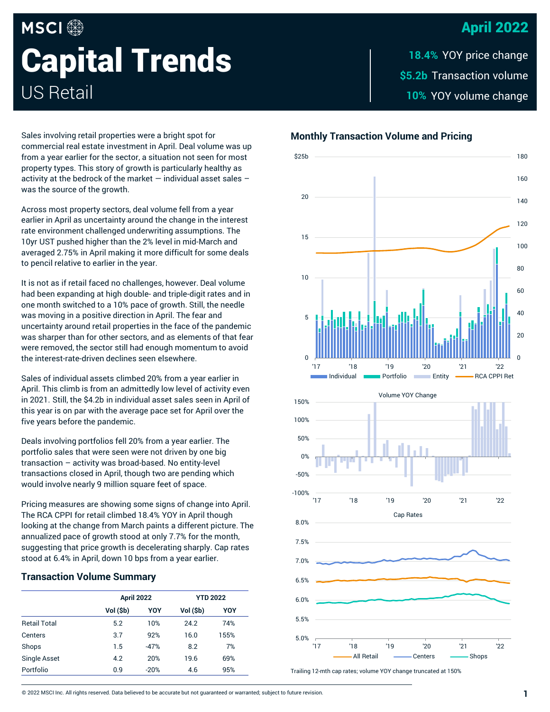# April 2022

# **MSCI Capital Trends** US Retail

\$5.2b Transaction volume 10% YOY volume change **18.4%**

Sales involving retail properties were a bright spot for commercial real estate investment in April. Deal volume was up from a year earlier for the sector, a situation not seen for most property types. This story of growth is particularly healthy as activity at the bedrock of the market — individual asset sales – was the source of the growth.

Across most property sectors, deal volume fell from a year earlier in April as uncertainty around the change in the interest rate environment challenged underwriting assumptions. The 10yr UST pushed higher than the 2% level in mid-March and averaged 2.75% in April making it more difficult for some deals to pencil relative to earlier in the year.

It is not as if retail faced no challenges, however. Deal volume had been expanding at high double- and triple-digit rates and in one month switched to a 10% pace of growth. Still, the needle was moving in a positive direction in April. The fear and uncertainty around retail properties in the face of the pandemic was sharper than for other sectors, and as elements of that fear were removed, the sector still had enough momentum to avoid the interest-rate-driven declines seen elsewhere.

Sales of individual assets climbed 20% from a year earlier in April. This climb is from an admittedly low level of activity even in 2021. Still, the \$4.2b in individual asset sales seen in April of this year is on par with the average pace set for April over the five years before the pandemic.

Deals involving portfolios fell 20% from a year earlier. The portfolio sales that were seen were not driven by one big transaction – activity was broad-based. No entity-level transactions closed in April, though two are pending which would involve nearly 9 million square feet of space.

Pricing measures are showing some signs of change into April. The RCA CPPI for retail climbed 18.4% YOY in April though looking at the change from March paints a different picture. The annualized pace of growth stood at only 7.7% for the month, suggesting that price growth is decelerating sharply. Cap rates stood at 6.4% in April, down 10 bps from a year earlier.

### **Transaction Volume Summary**

|                     | April 2022 |        | <b>YTD 2022</b> |      |
|---------------------|------------|--------|-----------------|------|
|                     | Vol (\$b)  | YOY    | Vol (\$b)       | YOY  |
| <b>Retail Total</b> | 5.2        | 10%    | 24.2            | 74%  |
| Centers             | 3.7        | 92%    | 16.0            | 155% |
| Shops               | 1.5        | $-47%$ | 8.2             | 7%   |
| <b>Single Asset</b> | 4.2        | 20%    | 19.6            | 69%  |
| Portfolio           | 0.9        | $-20%$ | 4.6             | 95%  |

## **Monthly Transaction Volume and Pricing**



Trailing 12-mth cap rates; volume YOY change truncated at 150%